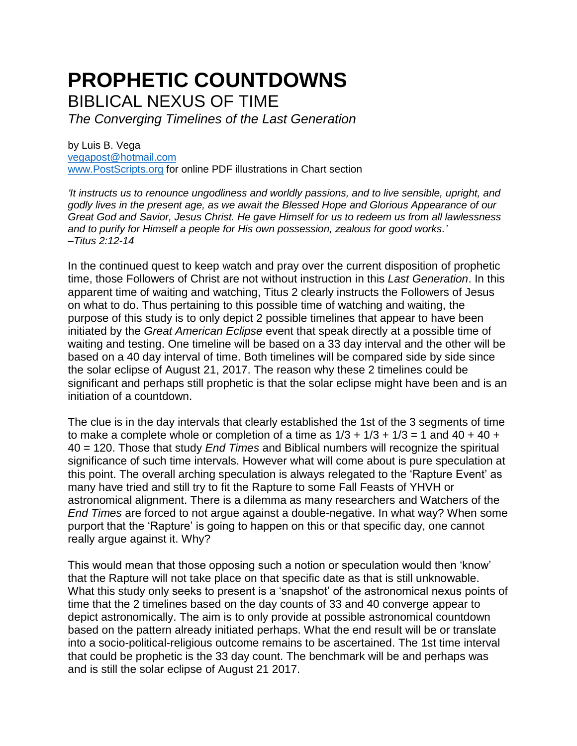## **PROPHETIC COUNTDOWNS** BIBLICAL NEXUS OF TIME

*The Converging Timelines of the Last Generation*

by Luis B. Vega [vegapost@hotmail.com](mailto:vegapost@hotmail.com) [www.PostScripts.org](http://www.postscripts.org/) for online PDF illustrations in Chart section

*'It instructs us to renounce ungodliness and worldly passions, and to live sensible, upright, and godly lives in the present age, as we await the Blessed Hope and Glorious Appearance of our Great God and Savior, Jesus Christ. He gave Himself for us to redeem us from all lawlessness and to purify for Himself a people for His own possession, zealous for good works.' –Titus 2:12-14*

In the continued quest to keep watch and pray over the current disposition of prophetic time, those Followers of Christ are not without instruction in this *Last Generation*. In this apparent time of waiting and watching, Titus 2 clearly instructs the Followers of Jesus on what to do. Thus pertaining to this possible time of watching and waiting, the purpose of this study is to only depict 2 possible timelines that appear to have been initiated by the *Great American Eclipse* event that speak directly at a possible time of waiting and testing. One timeline will be based on a 33 day interval and the other will be based on a 40 day interval of time. Both timelines will be compared side by side since the solar eclipse of August 21, 2017. The reason why these 2 timelines could be significant and perhaps still prophetic is that the solar eclipse might have been and is an initiation of a countdown.

The clue is in the day intervals that clearly established the 1st of the 3 segments of time to make a complete whole or completion of a time as  $1/3 + 1/3 + 1/3 = 1$  and  $40 + 40 +$ 40 = 120. Those that study *End Times* and Biblical numbers will recognize the spiritual significance of such time intervals. However what will come about is pure speculation at this point. The overall arching speculation is always relegated to the 'Rapture Event' as many have tried and still try to fit the Rapture to some Fall Feasts of YHVH or astronomical alignment. There is a dilemma as many researchers and Watchers of the *End Times* are forced to not argue against a double-negative. In what way? When some purport that the 'Rapture' is going to happen on this or that specific day, one cannot really argue against it. Why?

This would mean that those opposing such a notion or speculation would then 'know' that the Rapture will not take place on that specific date as that is still unknowable. What this study only seeks to present is a 'snapshot' of the astronomical nexus points of time that the 2 timelines based on the day counts of 33 and 40 converge appear to depict astronomically. The aim is to only provide at possible astronomical countdown based on the pattern already initiated perhaps. What the end result will be or translate into a socio-political-religious outcome remains to be ascertained. The 1st time interval that could be prophetic is the 33 day count. The benchmark will be and perhaps was and is still the solar eclipse of August 21 2017.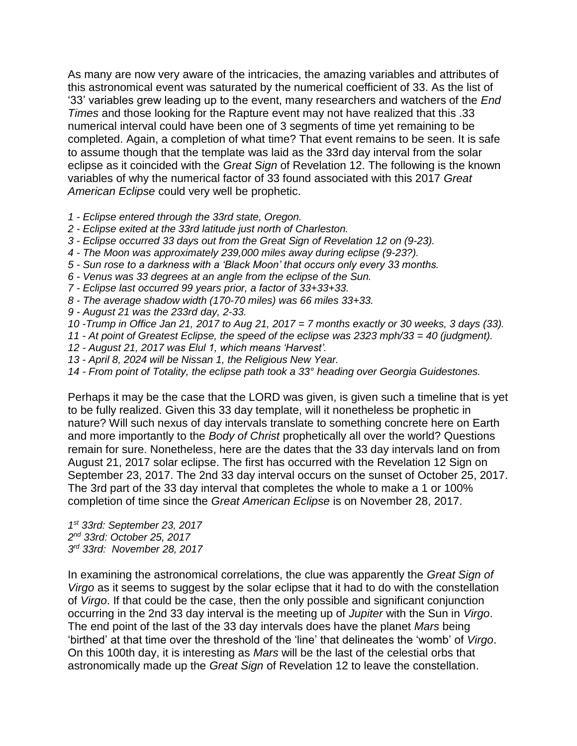As many are now very aware of the intricacies, the amazing variables and attributes of this astronomical event was saturated by the numerical coefficient of 33. As the list of '33' variables grew leading up to the event, many researchers and watchers of the *End Times* and those looking for the Rapture event may not have realized that this .33 numerical interval could have been one of 3 segments of time yet remaining to be completed. Again, a completion of what time? That event remains to be seen. It is safe to assume though that the template was laid as the 33rd day interval from the solar eclipse as it coincided with the *Great Sign* of Revelation 12. The following is the known variables of why the numerical factor of 33 found associated with this 2017 *Great American Eclipse* could very well be prophetic.

- *1 - Eclipse entered through the 33rd state, Oregon.*
- *2 - Eclipse exited at the 33rd latitude just north of Charleston.*
- *3 - Eclipse occurred 33 days out from the Great Sign of Revelation 12 on (9-23).*
- *4 - The Moon was approximately 239,000 miles away during eclipse (9-23?).*
- *5 - Sun rose to a darkness with a 'Black Moon' that occurs only every 33 months.*
- *6 - Venus was 33 degrees at an angle from the eclipse of the Sun.*
- *7 - Eclipse last occurred 99 years prior, a factor of 33+33+33.*
- *8 - The average shadow width (170-70 miles) was 66 miles 33+33.*
- *9 - August 21 was the 233rd day, 2-33.*
- *10 -Trump in Office Jan 21, 2017 to Aug 21, 2017 = 7 months exactly or 30 weeks, 3 days (33).*
- *11 - At point of Greatest Eclipse, the speed of the eclipse was 2323 mph/33 = 40 (judgment).*
- *12 - August 21, 2017 was Elul 1, which means 'Harvest'.*
- *13 - April 8, 2024 will be Nissan 1, the Religious New Year.*
- *14 - From point of Totality, the eclipse path took a 33° heading over Georgia Guidestones.*

Perhaps it may be the case that the LORD was given, is given such a timeline that is yet to be fully realized. Given this 33 day template, will it nonetheless be prophetic in nature? Will such nexus of day intervals translate to something concrete here on Earth and more importantly to the *Body of Christ* prophetically all over the world? Questions remain for sure. Nonetheless, here are the dates that the 33 day intervals land on from August 21, 2017 solar eclipse. The first has occurred with the Revelation 12 Sign on September 23, 2017. The 2nd 33 day interval occurs on the sunset of October 25, 2017. The 3rd part of the 33 day interval that completes the whole to make a 1 or 100% completion of time since the *Great American Eclipse* is on November 28, 2017.

*1 st 33rd: September 23, 2017 2 nd 33rd: October 25, 2017 3 rd 33rd: November 28, 2017*

In examining the astronomical correlations, the clue was apparently the *Great Sign of Virgo* as it seems to suggest by the solar eclipse that it had to do with the constellation of *Virgo*. If that could be the case, then the only possible and significant conjunction occurring in the 2nd 33 day interval is the meeting up of *Jupiter* with the Sun in *Virgo*. The end point of the last of the 33 day intervals does have the planet *Mars* being 'birthed' at that time over the threshold of the 'line' that delineates the 'womb' of *Virgo*. On this 100th day, it is interesting as *Mars* will be the last of the celestial orbs that astronomically made up the *Great Sign* of Revelation 12 to leave the constellation.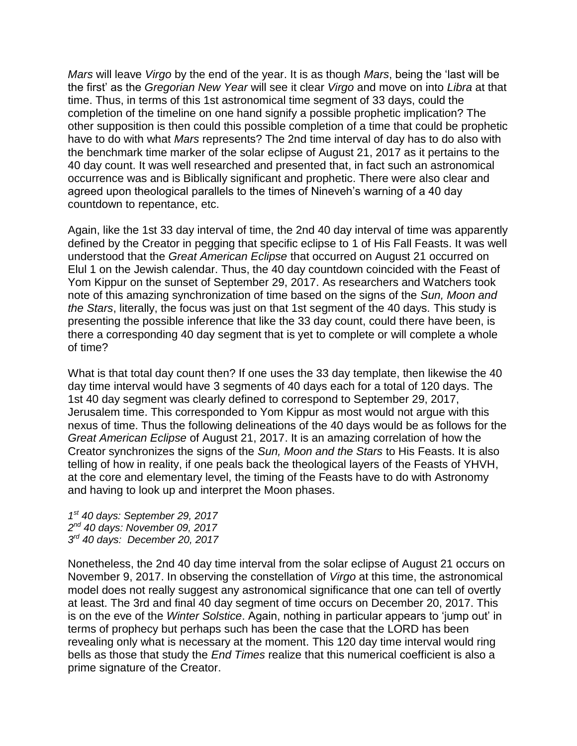*Mars* will leave *Virgo* by the end of the year. It is as though *Mars*, being the 'last will be the first' as the *Gregorian New Year* will see it clear *Virgo* and move on into *Libra* at that time. Thus, in terms of this 1st astronomical time segment of 33 days, could the completion of the timeline on one hand signify a possible prophetic implication? The other supposition is then could this possible completion of a time that could be prophetic have to do with what *Mars* represents? The 2nd time interval of day has to do also with the benchmark time marker of the solar eclipse of August 21, 2017 as it pertains to the 40 day count. It was well researched and presented that, in fact such an astronomical occurrence was and is Biblically significant and prophetic. There were also clear and agreed upon theological parallels to the times of Nineveh's warning of a 40 day countdown to repentance, etc.

Again, like the 1st 33 day interval of time, the 2nd 40 day interval of time was apparently defined by the Creator in pegging that specific eclipse to 1 of His Fall Feasts. It was well understood that the *Great American Eclipse* that occurred on August 21 occurred on Elul 1 on the Jewish calendar. Thus, the 40 day countdown coincided with the Feast of Yom Kippur on the sunset of September 29, 2017. As researchers and Watchers took note of this amazing synchronization of time based on the signs of the *Sun, Moon and the Stars*, literally, the focus was just on that 1st segment of the 40 days. This study is presenting the possible inference that like the 33 day count, could there have been, is there a corresponding 40 day segment that is yet to complete or will complete a whole of time?

What is that total day count then? If one uses the 33 day template, then likewise the 40 day time interval would have 3 segments of 40 days each for a total of 120 days. The 1st 40 day segment was clearly defined to correspond to September 29, 2017, Jerusalem time. This corresponded to Yom Kippur as most would not argue with this nexus of time. Thus the following delineations of the 40 days would be as follows for the *Great American Eclipse* of August 21, 2017. It is an amazing correlation of how the Creator synchronizes the signs of the *Sun, Moon and the Stars* to His Feasts. It is also telling of how in reality, if one peals back the theological layers of the Feasts of YHVH, at the core and elementary level, the timing of the Feasts have to do with Astronomy and having to look up and interpret the Moon phases.

*1 st 40 days: September 29, 2017 2 nd 40 days: November 09, 2017 3 rd 40 days: December 20, 2017*

Nonetheless, the 2nd 40 day time interval from the solar eclipse of August 21 occurs on November 9, 2017. In observing the constellation of *Virgo* at this time, the astronomical model does not really suggest any astronomical significance that one can tell of overtly at least. The 3rd and final 40 day segment of time occurs on December 20, 2017. This is on the eve of the *Winter Solstice*. Again, nothing in particular appears to 'jump out' in terms of prophecy but perhaps such has been the case that the LORD has been revealing only what is necessary at the moment. This 120 day time interval would ring bells as those that study the *End Times* realize that this numerical coefficient is also a prime signature of the Creator.